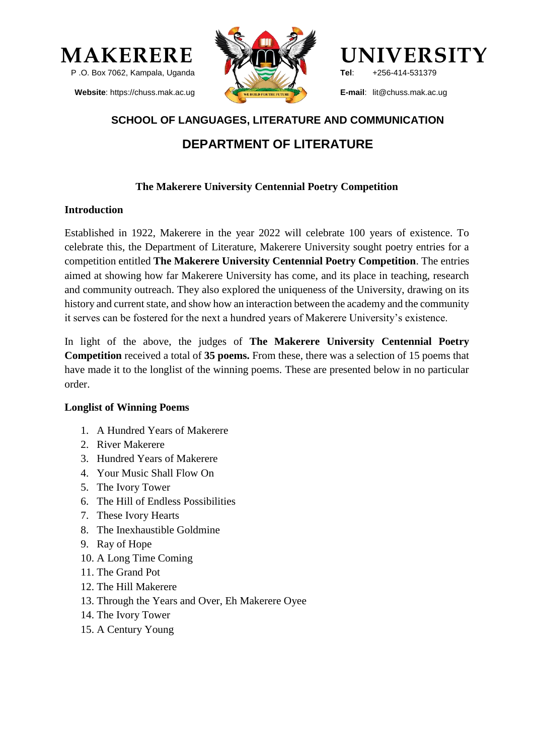

**Website**: https://chuss.mak.ac.ug





**Tel**: +256-414-531379

**E-mail**: lit@chuss.mak.ac.ug

## **SCHOOL OF LANGUAGES, LITERATURE AND COMMUNICATION**

# **DEPARTMENT OF LITERATURE**

## **The Makerere University Centennial Poetry Competition**

### **Introduction**

Established in 1922, Makerere in the year 2022 will celebrate 100 years of existence. To celebrate this, the Department of Literature, Makerere University sought poetry entries for a competition entitled **The Makerere University Centennial Poetry Competition**. The entries aimed at showing how far Makerere University has come, and its place in teaching, research and community outreach. They also explored the uniqueness of the University, drawing on its history and current state, and show how an interaction between the academy and the community it serves can be fostered for the next a hundred years of Makerere University's existence.

In light of the above, the judges of **The Makerere University Centennial Poetry Competition** received a total of **35 poems.** From these, there was a selection of 15 poems that have made it to the longlist of the winning poems. These are presented below in no particular order.

### **Longlist of Winning Poems**

- 1. A Hundred Years of Makerere
- 2. River Makerere
- 3. Hundred Years of Makerere
- 4. Your Music Shall Flow On
- 5. The Ivory Tower
- 6. The Hill of Endless Possibilities
- 7. These Ivory Hearts
- 8. The Inexhaustible Goldmine
- 9. Ray of Hope
- 10. A Long Time Coming
- 11. The Grand Pot
- 12. The Hill Makerere
- 13. Through the Years and Over, Eh Makerere Oyee
- 14. The Ivory Tower
- 15. A Century Young